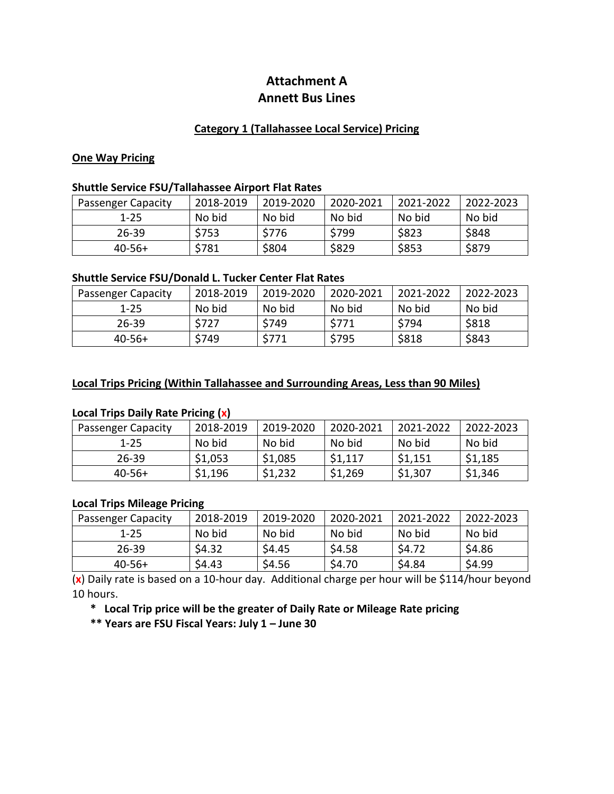# **Attachment A Annett Bus Lines**

### **Category 1 (Tallahassee Local Service) Pricing**

#### **One Way Pricing**

#### **Shuttle Service FSU/Tallahassee Airport Flat Rates**

| <b>Passenger Capacity</b> | 2018-2019 | 2019-2020 | 2020-2021 | 2021-2022 | 2022-2023 |
|---------------------------|-----------|-----------|-----------|-----------|-----------|
| $1 - 25$                  | No bid    | No bid    | No bid    | No bid    | No bid    |
| $26 - 39$                 | \$753     | \$776     | \$799     | \$823     | \$848     |
| $40-56+$                  | \$781     | \$804     | \$829     | \$853     | \$879     |

## **Shuttle Service FSU/Donald L. Tucker Center Flat Rates**

| <b>Passenger Capacity</b> | 2018-2019        | 2019-2020 | 2020-2021 | 2021-2022 | 2022-2023 |
|---------------------------|------------------|-----------|-----------|-----------|-----------|
| $1 - 25$                  | No bid           | No bid    | No bid    | No bid    | No bid    |
| $26 - 39$                 | <sup>∼</sup> 727 | \$749     | \$771     | \$794     | \$818     |
| $40-56+$                  | \$749            | \$771     | \$795     | \$818     | \$843     |

## **Local Trips Pricing (Within Tallahassee and Surrounding Areas, Less than 90 Miles)**

### **Local Trips Daily Rate Pricing (x)**

| <b>Passenger Capacity</b> | 2018-2019 | 2019-2020 | 2020-2021 | 2021-2022 | 2022-2023 |
|---------------------------|-----------|-----------|-----------|-----------|-----------|
| $1 - 25$                  | No bid    | No bid    | No bid    | No bid    | No bid    |
| 26-39                     | \$1,053   | \$1,085   | \$1,117   | \$1,151   | \$1,185   |
| $40-56+$                  | \$1,196   | \$1,232   | \$1,269   | \$1,307   | \$1,346   |

#### **Local Trips Mileage Pricing**

| <b>Passenger Capacity</b> | 2018-2019 | 2019-2020 | 2020-2021 | 2021-2022 | 2022-2023 |
|---------------------------|-----------|-----------|-----------|-----------|-----------|
| $1 - 25$                  | No bid    | No bid    | No bid    | No bid    | No bid    |
| 26-39                     | \$4.32    | \$4.45    | \$4.58    | \$4.72    | \$4.86    |
| $40-56+$                  | \$4.43    | \$4.56    | \$4.70    | \$4.84    | \$4.99    |

(**x**) Daily rate is based on a 10-hour day. Additional charge per hour will be \$114/hour beyond 10 hours.

**\* Local Trip price will be the greater of Daily Rate or Mileage Rate pricing**

**\*\* Years are FSU Fiscal Years: July 1 – June 30**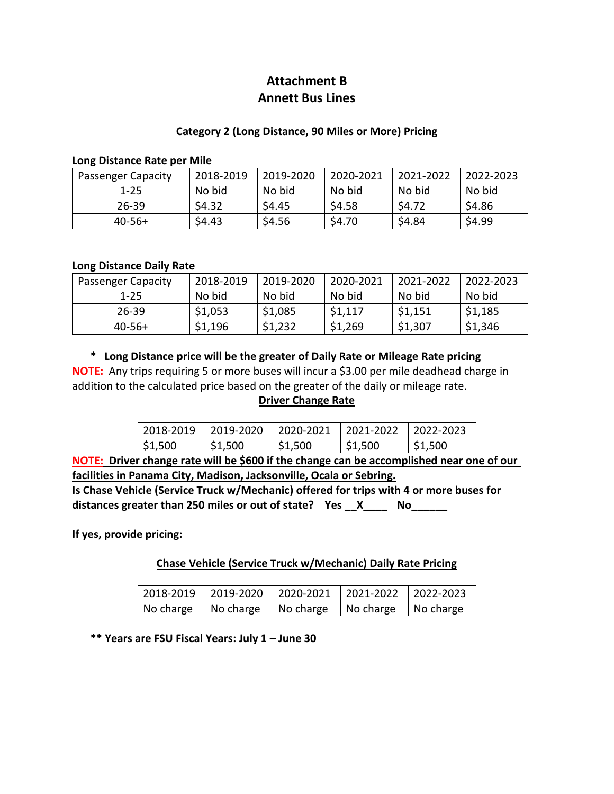# **Attachment B Annett Bus Lines**

## **Category 2 (Long Distance, 90 Miles or More) Pricing**

#### **Long Distance Rate per Mile**

| <b>Passenger Capacity</b> | 2018-2019 | 2019-2020 | 2020-2021 | 2021-2022 | 2022-2023 |
|---------------------------|-----------|-----------|-----------|-----------|-----------|
| $1 - 25$                  | No bid    | No bid    | No bid    | No bid    | No bid    |
| $26 - 39$                 | \$4.32    | \$4.45    | \$4.58    | \$4.72    | \$4.86    |
| $40-56+$                  | \$4.43    | \$4.56    | \$4.70    | \$4.84    | \$4.99    |

#### **Long Distance Daily Rate**

| <b>Passenger Capacity</b> | 2018-2019 | 2019-2020 | 2020-2021 | 2021-2022 | 2022-2023 |
|---------------------------|-----------|-----------|-----------|-----------|-----------|
| $1 - 25$                  | No bid    | No bid    | No bid    | No bid    | No bid    |
| 26-39                     | \$1,053   | \$1,085   | \$1,117   | \$1,151   | \$1,185   |
| $40-56+$                  | \$1,196   | \$1,232   | \$1,269   | \$1,307   | \$1,346   |

**\* Long Distance price will be the greater of Daily Rate or Mileage Rate pricing**

**NOTE:** Any trips requiring 5 or more buses will incur a \$3.00 per mile deadhead charge in addition to the calculated price based on the greater of the daily or mileage rate.

### **Driver Change Rate**

|         | 2018-2019 2019-2020 2020-2021 2021-2022 2022-2023 |                       |         |         |
|---------|---------------------------------------------------|-----------------------|---------|---------|
| \$1,500 | \$1,500                                           | $\frac{1}{2}$ \$1,500 | \$1,500 | \$1,500 |

**NOTE: Driver change rate will be \$600 if the change can be accomplished near one of our facilities in Panama City, Madison, Jacksonville, Ocala or Sebring.**

**Is Chase Vehicle (Service Truck w/Mechanic) offered for trips with 4 or more buses for distances greater than 250 miles or out of state? Yes \_\_X\_\_\_\_ No\_\_\_\_\_\_**

**If yes, provide pricing:**

### **Chase Vehicle (Service Truck w/Mechanic) Daily Rate Pricing**

| $\vert$ 2018-2019 $\vert$ 2019-2020 $\vert$ 2020-2021 $\vert$ 2021-2022 $\vert$ 2022-2023 |                                     |                          |
|-------------------------------------------------------------------------------------------|-------------------------------------|--------------------------|
| No charge   No charge                                                                     | $\vert$ No charge $\vert$ No charge | $\blacksquare$ No charge |

**\*\* Years are FSU Fiscal Years: July 1 – June 30**